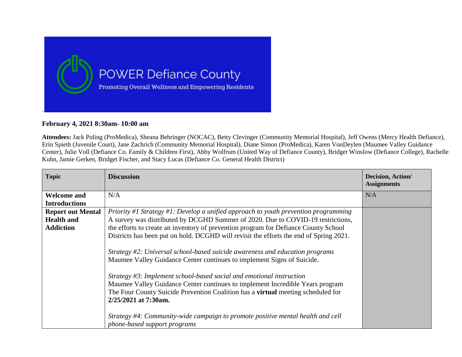

## **February 4, 2021 8:30am- 10:00 am**

**Attendees:** Jack Poling (ProMedica), Sheana Behringer (NOCAC), Betty Clevinger (Community Memorial Hospital), Jeff Owens (Mercy Health Defiance), Erin Spieth (Juvenile Court), Jane Zachrich (Community Memorial Hospital), Diane Simon (ProMedica), Karen VonDeylen (Maumee Valley Guidance Center), Julie Voll (Defiance Co. Family & Children First), Abby Wolfrum (United Way of Defiance County), Bridget Winslow (Defiance College), Rachelle Kuhn, Jamie Gerken, Bridget Fischer, and Stacy Lucas (Defiance Co. General Health District)

| <b>Topic</b>             | <b>Discussion</b>                                                                                                                                                                                                                                                                                                   | Decision, Action/<br><b>Assignments</b> |
|--------------------------|---------------------------------------------------------------------------------------------------------------------------------------------------------------------------------------------------------------------------------------------------------------------------------------------------------------------|-----------------------------------------|
| <b>Welcome and</b>       | N/A                                                                                                                                                                                                                                                                                                                 | N/A                                     |
| <b>Introductions</b>     |                                                                                                                                                                                                                                                                                                                     |                                         |
| <b>Report out Mental</b> | Priority #1 Strategy #1: Develop a unified approach to youth prevention programming                                                                                                                                                                                                                                 |                                         |
| <b>Health and</b>        | A survey was distributed by DCGHD Summer of 2020. Due to COVID-19 restrictions,                                                                                                                                                                                                                                     |                                         |
| <b>Addiction</b>         | the efforts to create an inventory of prevention program for Defiance County School                                                                                                                                                                                                                                 |                                         |
|                          | Districts has been put on hold. DCGHD will revisit the efforts the end of Spring 2021.                                                                                                                                                                                                                              |                                         |
|                          | Strategy #2: Universal school-based suicide awareness and education programs<br>Maumee Valley Guidance Center continues to implement Signs of Suicide.<br>Strategy $\#3$ : Implement school-based social and emotional instruction<br>Maumee Valley Guidance Center continues to implement Incredible Years program |                                         |
|                          | The Four County Suicide Prevention Coalition has a virtual meeting scheduled for                                                                                                                                                                                                                                    |                                         |
|                          | 2/25/2021 at 7:30am.                                                                                                                                                                                                                                                                                                |                                         |
|                          | Strategy #4: Community-wide campaign to promote positive mental health and cell<br>phone-based support programs                                                                                                                                                                                                     |                                         |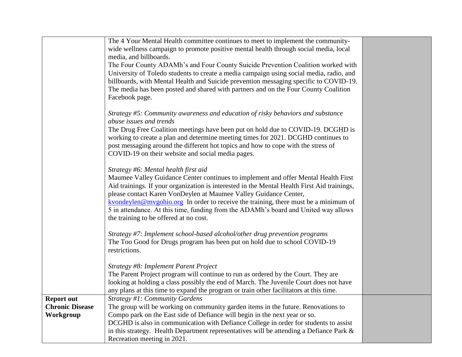|                        | The 4 Your Mental Health committee continues to meet to implement the community-<br>wide wellness campaign to promote positive mental health through social media, local |  |
|------------------------|--------------------------------------------------------------------------------------------------------------------------------------------------------------------------|--|
|                        | media, and billboards.                                                                                                                                                   |  |
|                        | The Four County ADAMh's and Four County Suicide Prevention Coalition worked with                                                                                         |  |
|                        | University of Toledo students to create a media campaign using social media, radio, and                                                                                  |  |
|                        | billboards, with Mental Health and Suicide prevention messaging specific to COVID-19.                                                                                    |  |
|                        | The media has been posted and shared with partners and on the Four County Coalition<br>Facebook page.                                                                    |  |
|                        |                                                                                                                                                                          |  |
|                        | Strategy #5: Community awareness and education of risky behaviors and substance                                                                                          |  |
|                        | abuse issues and trends                                                                                                                                                  |  |
|                        | The Drug Free Coalition meetings have been put on hold due to COVID-19. DCGHD is                                                                                         |  |
|                        | working to create a plan and determine meeting times for 2021. DCGHD continues to<br>post messaging around the different hot topics and how to cope with the stress of   |  |
|                        | COVID-19 on their website and social media pages.                                                                                                                        |  |
|                        |                                                                                                                                                                          |  |
|                        | Strategy #6: Mental health first aid                                                                                                                                     |  |
|                        | Maumee Valley Guidance Center continues to implement and offer Mental Health First                                                                                       |  |
|                        | Aid trainings. If your organization is interested in the Mental Health First Aid trainings,                                                                              |  |
|                        | please contact Karen VonDeylen at Maumee Valley Guidance Center,                                                                                                         |  |
|                        | kvondeylen@mygohio.org In order to receive the training, there must be a minimum of                                                                                      |  |
|                        | 5 in attendance. At this time, funding from the ADAMh's board and United way allows                                                                                      |  |
|                        | the training to be offered at no cost.                                                                                                                                   |  |
|                        | Strategy #7: Implement school-based alcohol/other drug prevention programs                                                                                               |  |
|                        | The Too Good for Drugs program has been put on hold due to school COVID-19                                                                                               |  |
|                        | restrictions.                                                                                                                                                            |  |
|                        |                                                                                                                                                                          |  |
|                        | Strategy #8: Implement Parent Project                                                                                                                                    |  |
|                        | The Parent Project program will continue to run as ordered by the Court. They are                                                                                        |  |
|                        | looking at holding a class possibly the end of March. The Juvenile Court does not have                                                                                   |  |
|                        | any plans at this time to expand the program or train other facilitators at this time.                                                                                   |  |
| <b>Report out</b>      | Strategy #1: Community Gardens                                                                                                                                           |  |
| <b>Chronic Disease</b> | The group will be working on community garden items in the future. Renovations to                                                                                        |  |
| Workgroup              | Compo park on the East side of Defiance will begin in the next year or so.                                                                                               |  |
|                        | DCGHD is also in communication with Defiance College in order for students to assist                                                                                     |  |
|                        | in this strategy. Health Department representatives will be attending a Defiance Park &                                                                                  |  |
|                        | Recreation meeting in 2021.                                                                                                                                              |  |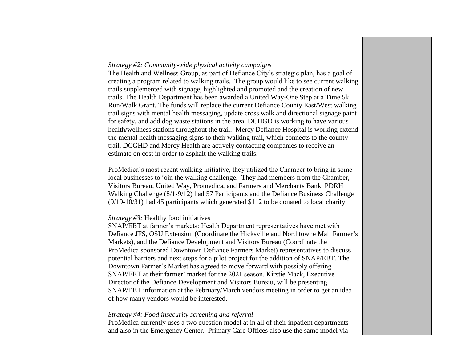## *Strategy #2: Community-wide physical activity campaigns*

The Health and Wellness Group, as part of Defiance City's strategic plan, has a goal of creating a program related to walking trails. The group would like to see current walking trails supplemented with signage, highlighted and promoted and the creation of new trails. The Health Department has been awarded a United Way-One Step at a Time 5k Run/Walk Grant. The funds will replace the current Defiance County East/West walking trail signs with mental health messaging, update cross walk and directional signage paint for safety, and add dog waste stations in the area. DCHGD is working to have various health/wellness stations throughout the trail. Mercy Defiance Hospital is working extend the mental health messaging signs to their walking trail, which connects to the county trail. DCGHD and Mercy Health are actively contacting companies to receive an estimate on cost in order to asphalt the walking trails.

ProMedica's most recent walking initiative, they utilized the Chamber to bring in some local businesses to join the walking challenge. They had members from the Chamber, Visitors Bureau, United Way, Promedica, and Farmers and Merchants Bank. PDRH Walking Challenge (8/1-9/12) had 57 Participants and the Defiance Business Challenge (9/19-10/31) had 45 participants which generated \$112 to be donated to local charity

## *Strategy #3:* Healthy food initiatives

SNAP/EBT at farmer's markets: Health Department representatives have met with Defiance JFS, OSU Extension (Coordinate the Hicksville and Northtowne Mall Farmer's Markets), and the Defiance Development and Visitors Bureau (Coordinate the ProMedica sponsored Downtown Defiance Farmers Market) representatives to discuss potential barriers and next steps for a pilot project for the addition of SNAP/EBT. The Downtown Farmer's Market has agreed to move forward with possibly offering SNAP/EBT at their farmer' market for the 2021 season. Kirstie Mack, Executive Director of the Defiance Development and Visitors Bureau, will be presenting SNAP/EBT information at the February/March vendors meeting in order to get an idea of how many vendors would be interested.

## *Strategy #4: Food insecurity screening and referral*

ProMedica currently uses a two question model at in all of their inpatient departments and also in the Emergency Center. Primary Care Offices also use the same model via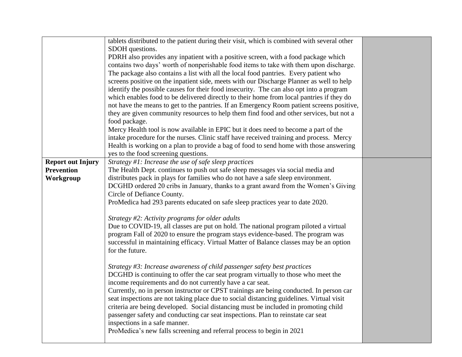|                          | tablets distributed to the patient during their visit, which is combined with several other                                                                                          |  |
|--------------------------|--------------------------------------------------------------------------------------------------------------------------------------------------------------------------------------|--|
|                          | SDOH questions.                                                                                                                                                                      |  |
|                          | PDRH also provides any inpatient with a positive screen, with a food package which                                                                                                   |  |
|                          | contains two days' worth of nonperishable food items to take with them upon discharge.                                                                                               |  |
|                          | The package also contains a list with all the local food pantries. Every patient who                                                                                                 |  |
|                          | screens positive on the inpatient side, meets with our Discharge Planner as well to help                                                                                             |  |
|                          | identify the possible causes for their food insecurity. The can also opt into a program                                                                                              |  |
|                          | which enables food to be delivered directly to their home from local pantries if they do                                                                                             |  |
|                          | not have the means to get to the pantries. If an Emergency Room patient screens positive,<br>they are given community resources to help them find food and other services, but not a |  |
|                          |                                                                                                                                                                                      |  |
|                          | food package.<br>Mercy Health tool is now available in EPIC but it does need to become a part of the                                                                                 |  |
|                          | intake procedure for the nurses. Clinic staff have received training and process. Mercy                                                                                              |  |
|                          | Health is working on a plan to provide a bag of food to send home with those answering                                                                                               |  |
|                          | yes to the food screening questions.                                                                                                                                                 |  |
| <b>Report out Injury</b> | Strategy #1: Increase the use of safe sleep practices                                                                                                                                |  |
| <b>Prevention</b>        | The Health Dept. continues to push out safe sleep messages via social media and                                                                                                      |  |
| Workgroup                | distributes pack in plays for families who do not have a safe sleep environment.                                                                                                     |  |
|                          | DCGHD ordered 20 cribs in January, thanks to a grant award from the Women's Giving                                                                                                   |  |
|                          | Circle of Defiance County.                                                                                                                                                           |  |
|                          | ProMedica had 293 parents educated on safe sleep practices year to date 2020.                                                                                                        |  |
|                          |                                                                                                                                                                                      |  |
|                          | Strategy #2: Activity programs for older adults                                                                                                                                      |  |
|                          | Due to COVID-19, all classes are put on hold. The national program piloted a virtual                                                                                                 |  |
|                          | program Fall of 2020 to ensure the program stays evidence-based. The program was                                                                                                     |  |
|                          | successful in maintaining efficacy. Virtual Matter of Balance classes may be an option                                                                                               |  |
|                          | for the future.                                                                                                                                                                      |  |
|                          |                                                                                                                                                                                      |  |
|                          | Strategy #3: Increase awareness of child passenger safety best practices                                                                                                             |  |
|                          | DCGHD is continuing to offer the car seat program virtually to those who meet the                                                                                                    |  |
|                          | income requirements and do not currently have a car seat.                                                                                                                            |  |
|                          | Currently, no in person instructor or CPST trainings are being conducted. In person car                                                                                              |  |
|                          | seat inspections are not taking place due to social distancing guidelines. Virtual visit                                                                                             |  |
|                          | criteria are being developed. Social distancing must be included in promoting child<br>passenger safety and conducting car seat inspections. Plan to reinstate car seat              |  |
|                          | inspections in a safe manner.                                                                                                                                                        |  |
|                          | ProMedica's new falls screening and referral process to begin in 2021                                                                                                                |  |
|                          |                                                                                                                                                                                      |  |
|                          |                                                                                                                                                                                      |  |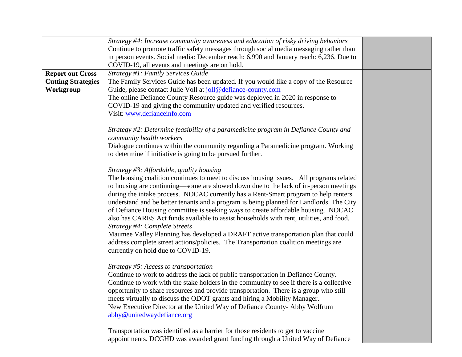|                           | Strategy #4: Increase community awareness and education of risky driving behaviors                                                                                          |  |
|---------------------------|-----------------------------------------------------------------------------------------------------------------------------------------------------------------------------|--|
|                           | Continue to promote traffic safety messages through social media messaging rather than                                                                                      |  |
|                           | in person events. Social media: December reach: 6,990 and January reach: 6,236. Due to                                                                                      |  |
|                           | COVID-19, all events and meetings are on hold.                                                                                                                              |  |
| <b>Report out Cross</b>   | Strategy #1: Family Services Guide                                                                                                                                          |  |
| <b>Cutting Strategies</b> | The Family Services Guide has been updated. If you would like a copy of the Resource                                                                                        |  |
| Workgroup                 | Guide, please contact Julie Voll at joll@defiance-county.com                                                                                                                |  |
|                           | The online Defiance County Resource guide was deployed in 2020 in response to                                                                                               |  |
|                           | COVID-19 and giving the community updated and verified resources.                                                                                                           |  |
|                           | Visit: www.defianceinfo.com                                                                                                                                                 |  |
|                           |                                                                                                                                                                             |  |
|                           | Strategy #2: Determine feasibility of a paramedicine program in Defiance County and                                                                                         |  |
|                           | community health workers                                                                                                                                                    |  |
|                           | Dialogue continues within the community regarding a Paramedicine program. Working                                                                                           |  |
|                           | to determine if initiative is going to be pursued further.                                                                                                                  |  |
|                           |                                                                                                                                                                             |  |
|                           | Strategy $\#3$ : Affordable, quality housing                                                                                                                                |  |
|                           | The housing coalition continues to meet to discuss housing issues. All programs related                                                                                     |  |
|                           | to housing are continuing—some are slowed down due to the lack of in-person meetings<br>during the intake process. NOCAC currently has a Rent-Smart program to help renters |  |
|                           | understand and be better tenants and a program is being planned for Landlords. The City                                                                                     |  |
|                           | of Defiance Housing committee is seeking ways to create affordable housing. NOCAC                                                                                           |  |
|                           | also has CARES Act funds available to assist households with rent, utilities, and food.                                                                                     |  |
|                           | Strategy #4: Complete Streets                                                                                                                                               |  |
|                           | Maumee Valley Planning has developed a DRAFT active transportation plan that could                                                                                          |  |
|                           | address complete street actions/policies. The Transportation coalition meetings are                                                                                         |  |
|                           | currently on hold due to COVID-19.                                                                                                                                          |  |
|                           |                                                                                                                                                                             |  |
|                           | Strategy #5: Access to transportation                                                                                                                                       |  |
|                           | Continue to work to address the lack of public transportation in Defiance County.                                                                                           |  |
|                           | Continue to work with the stake holders in the community to see if there is a collective                                                                                    |  |
|                           | opportunity to share resources and provide transportation. There is a group who still                                                                                       |  |
|                           | meets virtually to discuss the ODOT grants and hiring a Mobility Manager.                                                                                                   |  |
|                           | New Executive Director at the United Way of Defiance County-Abby Wolfrum                                                                                                    |  |
|                           | abby@unitedwaydefiance.org                                                                                                                                                  |  |
|                           |                                                                                                                                                                             |  |
|                           | Transportation was identified as a barrier for those residents to get to vaccine                                                                                            |  |
|                           | appointments. DCGHD was awarded grant funding through a United Way of Defiance                                                                                              |  |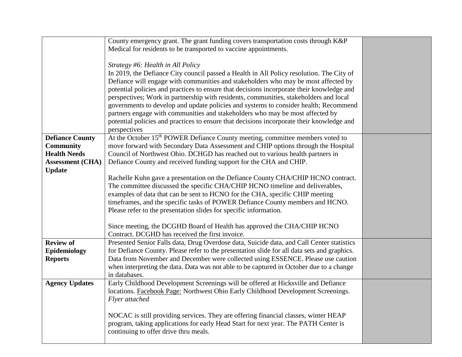|                         | County emergency grant. The grant funding covers transportation costs through K&P                                                                                     |  |
|-------------------------|-----------------------------------------------------------------------------------------------------------------------------------------------------------------------|--|
|                         | Medical for residents to be transported to vaccine appointments.                                                                                                      |  |
|                         | Strategy #6: Health in All Policy                                                                                                                                     |  |
|                         | In 2019, the Defiance City council passed a Health in All Policy resolution. The City of                                                                              |  |
|                         | Defiance will engage with communities and stakeholders who may be most affected by                                                                                    |  |
|                         | potential policies and practices to ensure that decisions incorporate their knowledge and                                                                             |  |
|                         | perspectives; Work in partnership with residents, communities, stakeholders and local                                                                                 |  |
|                         | governments to develop and update policies and systems to consider health; Recommend                                                                                  |  |
|                         | partners engage with communities and stakeholders who may be most affected by                                                                                         |  |
|                         | potential policies and practices to ensure that decisions incorporate their knowledge and                                                                             |  |
|                         | perspectives                                                                                                                                                          |  |
| <b>Defiance County</b>  | At the October 15 <sup>th</sup> POWER Defiance County meeting, committee members voted to                                                                             |  |
| <b>Community</b>        | move forward with Secondary Data Assessment and CHIP options through the Hospital                                                                                     |  |
| <b>Health Needs</b>     | Council of Northwest Ohio. DCHGD has reached out to various health partners in                                                                                        |  |
| <b>Assessment (CHA)</b> | Defiance County and received funding support for the CHA and CHIP.                                                                                                    |  |
| <b>Update</b>           | Rachelle Kuhn gave a presentation on the Defiance County CHA/CHIP HCNO contract.                                                                                      |  |
|                         | The committee discussed the specific CHA/CHIP HCNO timeline and deliverables,                                                                                         |  |
|                         | examples of data that can be sent to HCNO for the CHA, specific CHIP meeting                                                                                          |  |
|                         | timeframes, and the specific tasks of POWER Defiance County members and HCNO.                                                                                         |  |
|                         | Please refer to the presentation slides for specific information.                                                                                                     |  |
|                         |                                                                                                                                                                       |  |
|                         | Since meeting, the DCGHD Board of Health has approved the CHA/CHIP HCNO                                                                                               |  |
|                         | Contract. DCGHD has received the first invoice.                                                                                                                       |  |
| <b>Review of</b>        | Presented Senior Falls data, Drug Overdose data, Suicide data, and Call Center statistics                                                                             |  |
| Epidemiology            | for Defiance County. Please refer to the presentation slide for all data sets and graphics.                                                                           |  |
| <b>Reports</b>          | Data from November and December were collected using ESSENCE. Please use caution                                                                                      |  |
|                         | when interpreting the data. Data was not able to be captured in October due to a change                                                                               |  |
|                         | in databases.                                                                                                                                                         |  |
| <b>Agency Updates</b>   | Early Childhood Development Screenings will be offered at Hicksville and Defiance<br>locations. Facebook Page: Northwest Ohio Early Childhood Development Screenings. |  |
|                         | Flyer attached                                                                                                                                                        |  |
|                         |                                                                                                                                                                       |  |
|                         | NOCAC is still providing services. They are offering financial classes, winter HEAP                                                                                   |  |
|                         | program, taking applications for early Head Start for next year. The PATH Center is                                                                                   |  |
|                         | continuing to offer drive thru meals.                                                                                                                                 |  |
|                         |                                                                                                                                                                       |  |